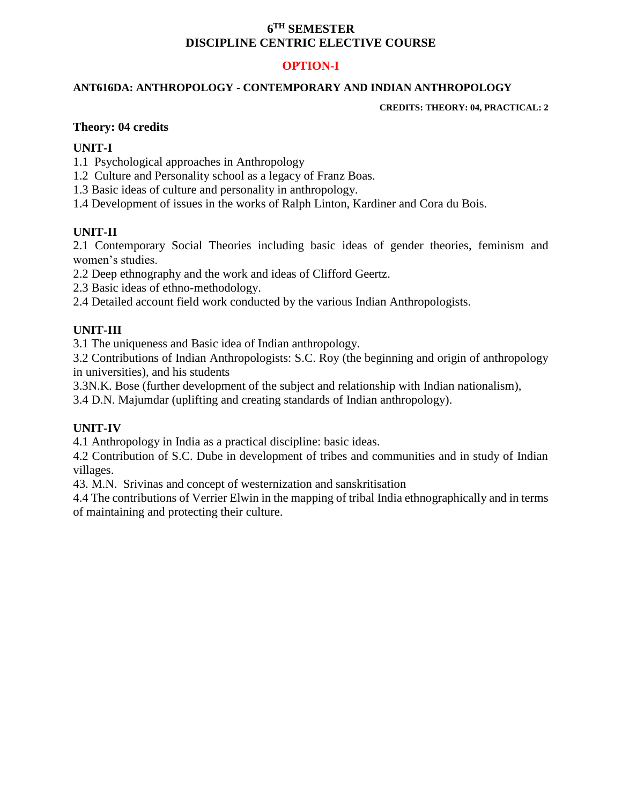## **6 TH SEMESTER DISCIPLINE CENTRIC ELECTIVE COURSE**

# **OPTION-I**

#### **ANT616DA: ANTHROPOLOGY - CONTEMPORARY AND INDIAN ANTHROPOLOGY**

**CREDITS: THEORY: 04, PRACTICAL: 2**

#### **Theory: 04 credits**

### **UNIT-I**

- 1.1 Psychological approaches in Anthropology
- 1.2 Culture and Personality school as a legacy of Franz Boas.
- 1.3 Basic ideas of culture and personality in anthropology.
- 1.4 Development of issues in the works of Ralph Linton, Kardiner and Cora du Bois.

## **UNIT-II**

2.1 Contemporary Social Theories including basic ideas of gender theories, feminism and women's studies.

2.2 Deep ethnography and the work and ideas of Clifford Geertz.

2.3 Basic ideas of ethno-methodology.

2.4 Detailed account field work conducted by the various Indian Anthropologists.

# **UNIT-III**

3.1 The uniqueness and Basic idea of Indian anthropology.

3.2 Contributions of Indian Anthropologists: S.C. Roy (the beginning and origin of anthropology in universities), and his students

3.3N.K. Bose (further development of the subject and relationship with Indian nationalism),

3.4 D.N. Majumdar (uplifting and creating standards of Indian anthropology).

## **UNIT-IV**

4.1 Anthropology in India as a practical discipline: basic ideas.

4.2 Contribution of S.C. Dube in development of tribes and communities and in study of Indian villages.

43. M.N. Srivinas and concept of westernization and sanskritisation

4.4 The contributions of Verrier Elwin in the mapping of tribal India ethnographically and in terms of maintaining and protecting their culture.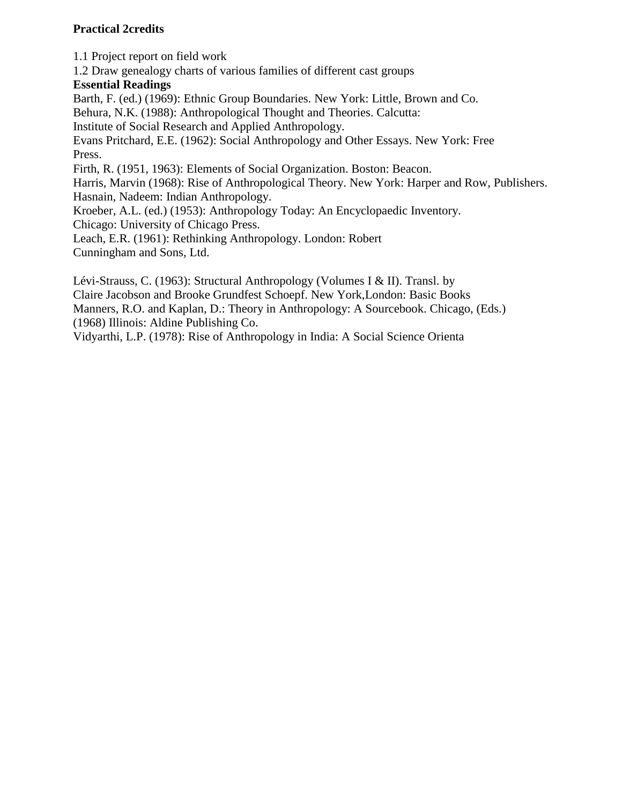# **Practical 2credits**

1.1 Project report on field work

1.2 Draw genealogy charts of various families of different cast groups

## **Essential Readings**

Barth, F. (ed.) (1969): Ethnic Group Boundaries. New York: Little, Brown and Co.

Behura, N.K. (1988): Anthropological Thought and Theories. Calcutta:

Institute of Social Research and Applied Anthropology.

Evans Pritchard, E.E. (1962): Social Anthropology and Other Essays. New York: Free Press.

Firth, R. (1951, 1963): Elements of Social Organization. Boston: Beacon.

Harris, Marvin (1968): Rise of Anthropological Theory. New York: Harper and Row, Publishers. Hasnain, Nadeem: Indian Anthropology.

Kroeber, A.L. (ed.) (1953): Anthropology Today: An Encyclopaedic Inventory.

Chicago: University of Chicago Press.

Leach, E.R. (1961): Rethinking Anthropology. London: Robert Cunningham and Sons, Ltd.

Lévi-Strauss, C. (1963): Structural Anthropology (Volumes I & II). Transl. by Claire Jacobson and Brooke Grundfest Schoepf. New York,London: Basic Books Manners, R.O. and Kaplan, D.: Theory in Anthropology: A Sourcebook. Chicago, (Eds.) (1968) Illinois: Aldine Publishing Co.

Vidyarthi, L.P. (1978): Rise of Anthropology in India: A Social Science Orienta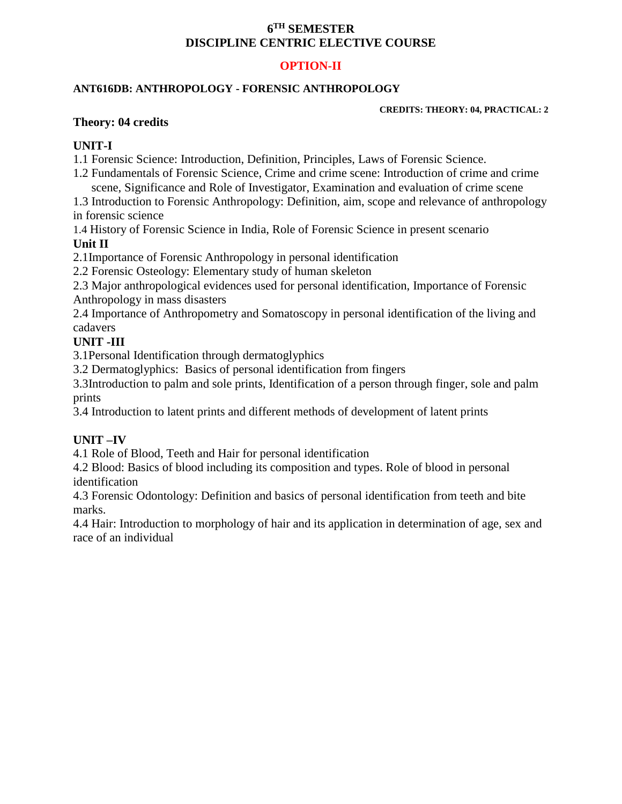## **6 TH SEMESTER DISCIPLINE CENTRIC ELECTIVE COURSE**

# **OPTION-II**

### **ANT616DB: ANTHROPOLOGY - FORENSIC ANTHROPOLOGY**

**CREDITS: THEORY: 04, PRACTICAL: 2**

### **Theory: 04 credits**

## **UNIT-I**

1.1 Forensic Science: Introduction, Definition, Principles, Laws of Forensic Science.

1.2 Fundamentals of Forensic Science, Crime and crime scene: Introduction of crime and crime scene, Significance and Role of Investigator, Examination and evaluation of crime scene

1.3 Introduction to Forensic Anthropology: Definition, aim, scope and relevance of anthropology in forensic science

1.4 History of Forensic Science in India, Role of Forensic Science in present scenario **Unit II**

2.1Importance of Forensic Anthropology in personal identification

2.2 Forensic Osteology: Elementary study of human skeleton

2.3 Major anthropological evidences used for personal identification, Importance of Forensic Anthropology in mass disasters

2.4 Importance of Anthropometry and Somatoscopy in personal identification of the living and cadavers

# **UNIT -III**

3.1Personal Identification through dermatoglyphics

3.2 Dermatoglyphics: Basics of personal identification from fingers

3.3Introduction to palm and sole prints, Identification of a person through finger, sole and palm prints

3.4 Introduction to latent prints and different methods of development of latent prints

## **UNIT –IV**

4.1 Role of Blood, Teeth and Hair for personal identification

4.2 Blood: Basics of blood including its composition and types. Role of blood in personal identification

4.3 Forensic Odontology: Definition and basics of personal identification from teeth and bite marks.

4.4 Hair: Introduction to morphology of hair and its application in determination of age, sex and race of an individual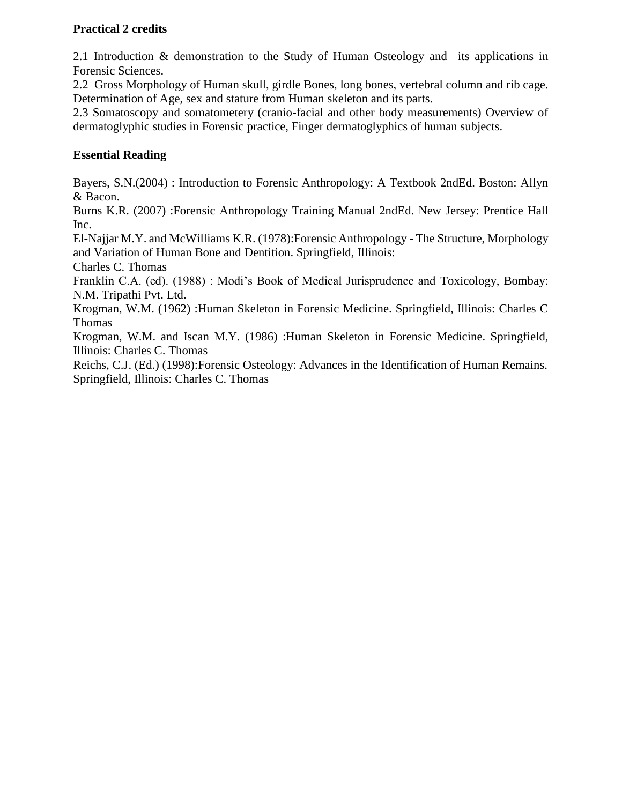# **Practical 2 credits**

2.1 Introduction & demonstration to the Study of Human Osteology and its applications in Forensic Sciences.

2.2 Gross Morphology of Human skull, girdle Bones, long bones, vertebral column and rib cage. Determination of Age, sex and stature from Human skeleton and its parts.

2.3 Somatoscopy and somatometery (cranio-facial and other body measurements) Overview of dermatoglyphic studies in Forensic practice, Finger dermatoglyphics of human subjects.

# **Essential Reading**

Bayers, S.N.(2004) : Introduction to Forensic Anthropology: A Textbook 2ndEd. Boston: Allyn & Bacon.

Burns K.R. (2007) :Forensic Anthropology Training Manual 2ndEd. New Jersey: Prentice Hall Inc.

El-Najjar M.Y. and McWilliams K.R. (1978):Forensic Anthropology - The Structure, Morphology and Variation of Human Bone and Dentition. Springfield, Illinois:

Charles C. Thomas

Franklin C.A. (ed). (1988) : Modi's Book of Medical Jurisprudence and Toxicology, Bombay: N.M. Tripathi Pvt. Ltd.

Krogman, W.M. (1962) :Human Skeleton in Forensic Medicine. Springfield, Illinois: Charles C Thomas

Krogman, W.M. and Iscan M.Y. (1986) :Human Skeleton in Forensic Medicine. Springfield, Illinois: Charles C. Thomas

Reichs, C.J. (Ed.) (1998):Forensic Osteology: Advances in the Identification of Human Remains. Springfield, Illinois: Charles C. Thomas